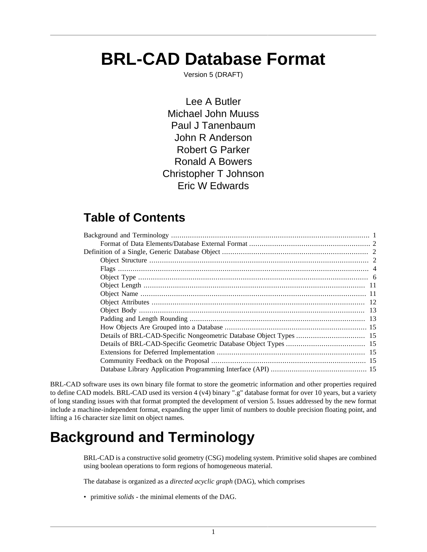# **BRL-CAD Database Format**

Version 5 (DRAFT)

Lee A Butler Michael John Muuss Paul J Tanenbaum John R Anderson Robert G Parker Ronald A Bowers Christopher T Johnson Eric W Edwards

# **Table of Contents**

BRL-CAD software uses its own binary file format to store the geometric information and other properties required to define CAD models. BRL-CAD used its version 4 (v4) binary ".g" database format for over 10 years, but a variety of long standing issues with that format prompted the development of version 5. Issues addressed by the new format include a machine-independent format, expanding the upper limit of numbers to double precision floating point, and lifting a 16 character size limit on object names.

# <span id="page-0-0"></span>**Background and Terminology**

BRL-CAD is a constructive solid geometry (CSG) modeling system. Primitive solid shapes are combined using boolean operations to form regions of homogeneous material.

The database is organized as a *directed acyclic graph* (DAG), which comprises

• primitive *solids* - the minimal elements of the DAG.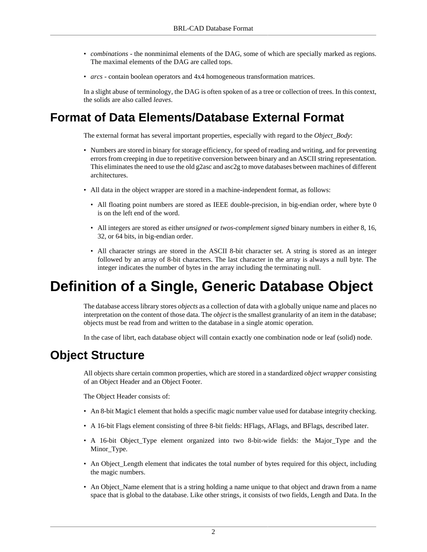- *combinations* the nonminimal elements of the DAG, some of which are specially marked as regions. The maximal elements of the DAG are called tops.
- *arcs* contain boolean operators and 4x4 homogeneous transformation matrices.

In a slight abuse of terminology, the DAG is often spoken of as a tree or collection of trees. In this context, the solids are also called *leaves*.

# <span id="page-1-0"></span>**Format of Data Elements/Database External Format**

The external format has several important properties, especially with regard to the *Object\_Body*:

- Numbers are stored in binary for storage efficiency, for speed of reading and writing, and for preventing errors from creeping in due to repetitive conversion between binary and an ASCII string representation. This eliminates the need to use the old g2asc and asc2g to move databases between machines of different architectures.
- All data in the object wrapper are stored in a machine-independent format, as follows:
	- All floating point numbers are stored as IEEE double-precision, in big-endian order, where byte 0 is on the left end of the word.
	- All integers are stored as either *unsigned* or *twos-complement signed* binary numbers in either 8, 16, 32, or 64 bits, in big-endian order.
	- All character strings are stored in the ASCII 8-bit character set. A string is stored as an integer followed by an array of 8-bit characters. The last character in the array is always a null byte. The integer indicates the number of bytes in the array including the terminating null.

# <span id="page-1-1"></span>**Definition of a Single, Generic Database Object**

The database access library stores *objects* as a collection of data with a globally unique name and places no interpretation on the content of those data. The *object* is the smallest granularity of an item in the database; objects must be read from and written to the database in a single atomic operation.

In the case of librt, each database object will contain exactly one combination node or leaf (solid) node.

# <span id="page-1-2"></span>**Object Structure**

All objects share certain common properties, which are stored in a standardized *object wrapper* consisting of an Object Header and an Object Footer.

The Object Header consists of:

- An 8-bit Magic1 element that holds a specific magic number value used for database integrity checking.
- A 16-bit Flags element consisting of three 8-bit fields: HFlags, AFlags, and BFlags, described later.
- A 16-bit Object\_Type element organized into two 8-bit-wide fields: the Major\_Type and the Minor\_Type.
- An Object\_Length element that indicates the total number of bytes required for this object, including the magic numbers.
- An Object\_Name element that is a string holding a name unique to that object and drawn from a name space that is global to the database. Like other strings, it consists of two fields, Length and Data. In the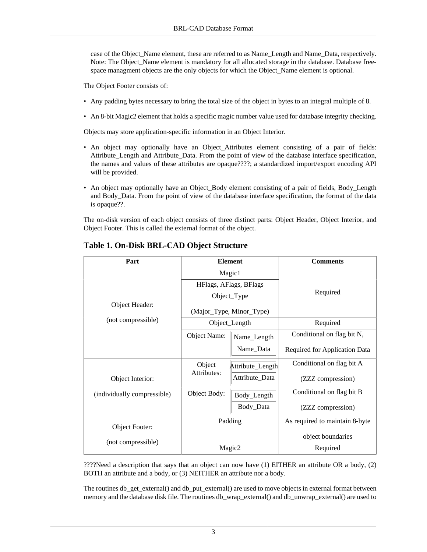case of the Object\_Name element, these are referred to as Name\_Length and Name\_Data, respectively. Note: The Object Name element is mandatory for all allocated storage in the database. Database freespace managment objects are the only objects for which the Object Name element is optional.

The Object Footer consists of:

- Any padding bytes necessary to bring the total size of the object in bytes to an integral multiple of 8.
- An 8-bit Magic2 element that holds a specific magic number value used for database integrity checking.

Objects may store application-specific information in an Object Interior.

- An object may optionally have an Object Attributes element consisting of a pair of fields: Attribute\_Length and Attribute\_Data. From the point of view of the database interface specification, the names and values of these attributes are opaque????; a standardized import/export encoding API will be provided.
- An object may optionally have an Object\_Body element consisting of a pair of fields, Body\_Length and Body\_Data. From the point of view of the database interface specification, the format of the data is opaque??.

The on-disk version of each object consists of three distinct parts: Object Header, Object Interior, and Object Footer. This is called the external format of the object.

| Part                        |              | <b>Element</b>           | <b>Comments</b>                |  |  |
|-----------------------------|--------------|--------------------------|--------------------------------|--|--|
|                             |              | Magic1                   |                                |  |  |
|                             |              | HFlags, AFlags, BFlags   |                                |  |  |
|                             |              | Object_Type              | Required                       |  |  |
| Object Header:              |              | (Major_Type, Minor_Type) |                                |  |  |
| (not compressible)          |              | Object_Length            | Required                       |  |  |
|                             | Object Name: | Name_Length              | Conditional on flag bit N,     |  |  |
|                             |              | Name_Data                | Required for Application Data  |  |  |
|                             | Object       | Attribute_Length         | Conditional on flag bit A      |  |  |
| Object Interior:            | Attributes:  | Attribute_Data           | (ZZZ compression)              |  |  |
| (individually compressible) | Object Body: | Body_Length              | Conditional on flag bit B      |  |  |
|                             |              | Body_Data                | (ZZZ compression)              |  |  |
| Object Footer:              |              | Padding                  | As required to maintain 8-byte |  |  |
| (not compressible)          |              |                          | object boundaries              |  |  |
|                             |              | Magic2                   | Required                       |  |  |

#### **Table 1. On-Disk BRL-CAD Object Structure**

????Need a description that says that an object can now have (1) EITHER an attribute OR a body, (2) BOTH an attribute and a body, or (3) NEITHER an attribute nor a body.

The routines db\_get\_external() and db\_put\_external() are used to move objects in external format between memory and the database disk file. The routines db\_wrap\_external() and db\_unwrap\_external() are used to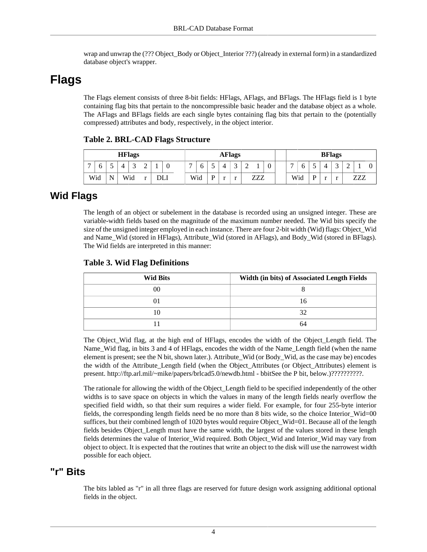wrap and unwrap the (??? Object\_Body or Object\_Interior ???) (already in external form) in a standardized database object's wrapper.

# <span id="page-3-0"></span>**Flags**

The Flags element consists of three 8-bit fields: HFlags, AFlags, and BFlags. The HFlags field is 1 byte containing flag bits that pertain to the noncompressible basic header and the database object as a whole. The AFlags and BFlags fields are each single bytes containing flag bits that pertain to the (potentially compressed) attributes and body, respectively, in the object interior.

|  |  |  | <b>Table 2. BRL-CAD Flags Structure</b> |
|--|--|--|-----------------------------------------|
|--|--|--|-----------------------------------------|

| <b>HFlags</b>  |          |   |   |             | <b>AFlags</b> |     |   |     |   | <b>BFlags</b>            |   |   |            |   |   |     |   |  |        |        |     |  |
|----------------|----------|---|---|-------------|---------------|-----|---|-----|---|--------------------------|---|---|------------|---|---|-----|---|--|--------|--------|-----|--|
| $\overline{ }$ | $\sigma$ | ◡ | Δ | $\sim$<br>ັ | $\sim$<br>∼   | v   | - | U   |   |                          | ⌒ | ∼ |            | ν | - | O   |   |  | $\sim$ | ∽<br>∸ |     |  |
|                | Wid      | N |   | Wid         |               | DLI |   | Wid | D | $\overline{\phantom{a}}$ |   |   | 777<br>∠∠∠ |   |   | Wid | D |  | . .    |        | ZZ7 |  |

### **Wid Flags**

The length of an object or subelement in the database is recorded using an unsigned integer. These are variable-width fields based on the magnitude of the maximum number needed. The Wid bits specify the size of the unsigned integer employed in each instance. There are four 2-bit width (Wid) flags: Object\_Wid and Name\_Wid (stored in HFlags), Attribute\_Wid (stored in AFlags), and Body\_Wid (stored in BFlags). The Wid fields are interpreted in this manner:

#### **Table 3. Wid Flag Definitions**

| <b>Wid Bits</b> | Width (in bits) of Associated Length Fields |
|-----------------|---------------------------------------------|
| 00              |                                             |
|                 | <sub>0</sub>                                |
|                 |                                             |
|                 | 64                                          |

The Object Wid flag, at the high end of HFlags, encodes the width of the Object Length field. The Name\_Wid flag, in bits 3 and 4 of HFlags, encodes the width of the Name\_Length field (when the name element is present; see the N bit, shown later.). Attribute\_Wid (or Body\_Wid, as the case may be) encodes the width of the Attribute Length field (when the Object Attributes (or Object Attributes) element is present. http://ftp.arl.mil/~mike/papers/brlcad5.0/newdb.html - bbitSee the P bit, below.)??????????.

The rationale for allowing the width of the Object\_Length field to be specified independently of the other widths is to save space on objects in which the values in many of the length fields nearly overflow the specified field width, so that their sum requires a wider field. For example, for four 255-byte interior fields, the corresponding length fields need be no more than 8 bits wide, so the choice Interior\_Wid=00 suffices, but their combined length of 1020 bytes would require Object\_Wid=01. Because all of the length fields besides Object\_Length must have the same width, the largest of the values stored in these length fields determines the value of Interior\_Wid required. Both Object\_Wid and Interior\_Wid may vary from object to object. It is expected that the routines that write an object to the disk will use the narrowest width possible for each object.

### **"r" Bits**

The bits labled as "r" in all three flags are reserved for future design work assigning additional optional fields in the object.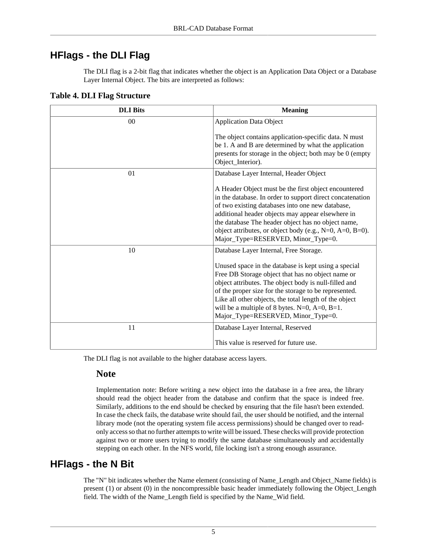### **HFlags - the DLI Flag**

The DLI flag is a 2-bit flag that indicates whether the object is an Application Data Object or a Database Layer Internal Object. The bits are interpreted as follows:

| <b>DLI</b> Bits | <b>Meaning</b>                                                                                                                                                                                                                                                                                                                                                                        |
|-----------------|---------------------------------------------------------------------------------------------------------------------------------------------------------------------------------------------------------------------------------------------------------------------------------------------------------------------------------------------------------------------------------------|
| 0 <sup>0</sup>  | <b>Application Data Object</b>                                                                                                                                                                                                                                                                                                                                                        |
|                 | The object contains application-specific data. N must<br>be 1. A and B are determined by what the application<br>presents for storage in the object; both may be 0 (empty<br>Object_Interior).                                                                                                                                                                                        |
| 01              | Database Layer Internal, Header Object                                                                                                                                                                                                                                                                                                                                                |
|                 | A Header Object must be the first object encountered<br>in the database. In order to support direct concatenation<br>of two existing databases into one new database,<br>additional header objects may appear elsewhere in<br>the database The header object has no object name,<br>object attributes, or object body (e.g., N=0, A=0, B=0).<br>Major_Type=RESERVED, Minor_Type=0.    |
| 10              | Database Layer Internal, Free Storage.                                                                                                                                                                                                                                                                                                                                                |
|                 | Unused space in the database is kept using a special<br>Free DB Storage object that has no object name or<br>object attributes. The object body is null-filled and<br>of the proper size for the storage to be represented.<br>Like all other objects, the total length of the object<br>will be a multiple of 8 bytes. $N=0$ , $A=0$ , $B=1$ .<br>Major_Type=RESERVED, Minor_Type=0. |
| 11              | Database Layer Internal, Reserved                                                                                                                                                                                                                                                                                                                                                     |
|                 | This value is reserved for future use.                                                                                                                                                                                                                                                                                                                                                |

#### **Table 4. DLI Flag Structure**

The DLI flag is not available to the higher database access layers.

#### **Note**

Implementation note: Before writing a new object into the database in a free area, the library should read the object header from the database and confirm that the space is indeed free. Similarly, additions to the end should be checked by ensuring that the file hasn't been extended. In case the check fails, the database write should fail, the user should be notified, and the internal library mode (not the operating system file access permissions) should be changed over to readonly access so that no further attempts to write will be issued. These checks will provide protection against two or more users trying to modify the same database simultaneously and accidentally stepping on each other. In the NFS world, file locking isn't a strong enough assurance.

### **HFlags - the N Bit**

The "N" bit indicates whether the Name element (consisting of Name\_Length and Object\_Name fields) is present (1) or absent (0) in the noncompressible basic header immediately following the Object\_Length field. The width of the Name\_Length field is specified by the Name\_Wid field.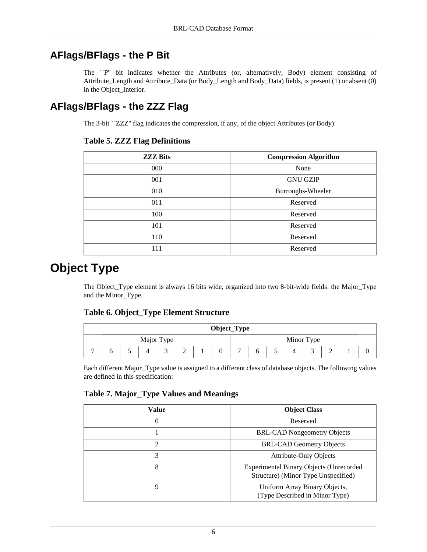### **AFlags/BFlags - the P Bit**

The ``P'' bit indicates whether the Attributes (or, alternatively, Body) element consisting of Attribute\_Length and Attribute\_Data (or Body\_Length and Body\_Data) fields, is present (1) or absent (0) in the Object\_Interior.

### **AFlags/BFlags - the ZZZ Flag**

The 3-bit ``ZZZ'' flag indicates the compression, if any, of the object Attributes (or Body):

#### **Table 5. ZZZ Flag Definitions**

| <b>ZZZ Bits</b> | <b>Compression Algorithm</b> |
|-----------------|------------------------------|
| 000             | None                         |
| 001             | <b>GNU GZIP</b>              |
| 010             | Burroughs-Wheeler            |
| 011             | Reserved                     |
| 100             | Reserved                     |
| 101             | Reserved                     |
| 110             | Reserved                     |
| 111             | Reserved                     |

# <span id="page-5-0"></span>**Object Type**

The Object\_Type element is always 16 bits wide, organized into two 8-bit-wide fields: the Major\_Type and the Minor\_Type.

#### **Table 6. Object\_Type Element Structure**

| Object_Type |  |  |  |  |  |  |   |            |  |  |   |   |  |  |
|-------------|--|--|--|--|--|--|---|------------|--|--|---|---|--|--|
| Major Type  |  |  |  |  |  |  |   | Minor Type |  |  |   |   |  |  |
| -<br>∼      |  |  |  |  |  |  | − |            |  |  | - | ∼ |  |  |

Each different Major\_Type value is assigned to a different class of database objects. The following values are defined in this specification:

#### **Table 7. Major\_Type Values and Meanings**

| Value          | <b>Object Class</b>                                                                   |
|----------------|---------------------------------------------------------------------------------------|
| $\theta$       | Reserved                                                                              |
|                | <b>BRL-CAD Nongeometry Objects</b>                                                    |
| $\mathfrak{D}$ | <b>BRL-CAD Geometry Objects</b>                                                       |
| 3              | <b>Attribute-Only Objects</b>                                                         |
| 8              | <b>Experimental Binary Objects (Unrecorded</b><br>Structure) (Minor Type Unspecified) |
| 9              | Uniform Array Binary Objects,<br>(Type Described in Minor Type)                       |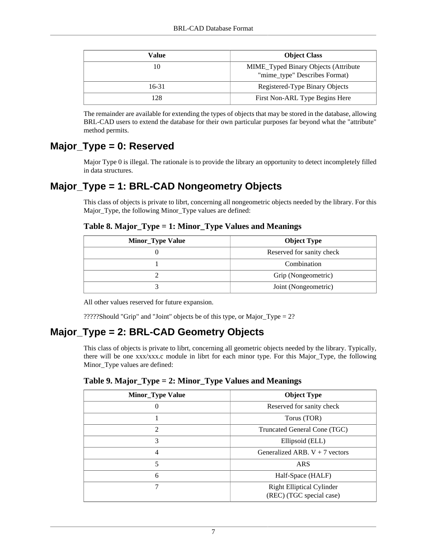| Value | <b>Object Class</b>                                                   |
|-------|-----------------------------------------------------------------------|
| 10    | MIME_Typed Binary Objects (Attribute<br>"mime_type" Describes Format) |
| 16-31 | Registered-Type Binary Objects                                        |
| 128   | First Non-ARL Type Begins Here                                        |

The remainder are available for extending the types of objects that may be stored in the database, allowing BRL-CAD users to extend the database for their own particular purposes far beyond what the "attribute" method permits.

### **Major\_Type = 0: Reserved**

Major Type 0 is illegal. The rationale is to provide the library an opportunity to detect incompletely filled in data structures.

### **Major\_Type = 1: BRL-CAD Nongeometry Objects**

This class of objects is private to librt, concerning all nongeometric objects needed by the library. For this Major\_Type, the following Minor\_Type values are defined:

#### **Table 8. Major\_Type = 1: Minor\_Type Values and Meanings**

| <b>Minor_Type Value</b> | <b>Object Type</b>        |
|-------------------------|---------------------------|
|                         | Reserved for sanity check |
|                         | Combination               |
|                         | Grip (Nongeometric)       |
|                         | Joint (Nongeometric)      |

All other values reserved for future expansion.

?????Should "Grip" and "Joint" objects be of this type, or Major\_Type = 2?

### **Major\_Type = 2: BRL-CAD Geometry Objects**

This class of objects is private to librt, concerning all geometric objects needed by the library. Typically, there will be one xxx/xxx.c module in librt for each minor type. For this Major\_Type, the following Minor\_Type values are defined:

|  |  | Table 9. Major_Type = 2: Minor_Type Values and Meanings |  |
|--|--|---------------------------------------------------------|--|
|  |  |                                                         |  |

| <b>Minor_Type Value</b> | <b>Object Type</b>                                           |  |
|-------------------------|--------------------------------------------------------------|--|
| 0                       | Reserved for sanity check                                    |  |
| 1                       | Torus (TOR)                                                  |  |
| 2                       | Truncated General Cone (TGC)                                 |  |
| 3                       | Ellipsoid (ELL)                                              |  |
| $\overline{4}$          | Generalized ARB. $V + 7$ vectors                             |  |
| 5                       | <b>ARS</b>                                                   |  |
| 6                       | Half-Space (HALF)                                            |  |
| 7                       | <b>Right Elliptical Cylinder</b><br>(REC) (TGC special case) |  |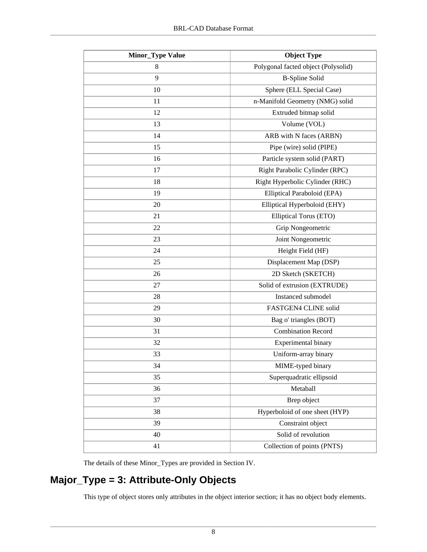| <b>Minor_Type Value</b> | <b>Object Type</b>                  |  |  |
|-------------------------|-------------------------------------|--|--|
| 8                       | Polygonal facted object (Polysolid) |  |  |
| 9                       | <b>B-Spline Solid</b>               |  |  |
| 10                      | Sphere (ELL Special Case)           |  |  |
| 11                      | n-Manifold Geometry (NMG) solid     |  |  |
| 12                      | Extruded bitmap solid               |  |  |
| 13                      | Volume (VOL)                        |  |  |
| 14                      | ARB with N faces (ARBN)             |  |  |
| 15                      | Pipe (wire) solid (PIPE)            |  |  |
| 16                      | Particle system solid (PART)        |  |  |
| 17                      | Right Parabolic Cylinder (RPC)      |  |  |
| 18                      | Right Hyperbolic Cylinder (RHC)     |  |  |
| 19                      | Elliptical Paraboloid (EPA)         |  |  |
| 20                      | Elliptical Hyperboloid (EHY)        |  |  |
| 21                      | Elliptical Torus (ETO)              |  |  |
| 22                      | Grip Nongeometric                   |  |  |
| 23                      | Joint Nongeometric                  |  |  |
| 24                      | Height Field (HF)                   |  |  |
| 25                      | Displacement Map (DSP)              |  |  |
| 26                      | 2D Sketch (SKETCH)                  |  |  |
| 27                      | Solid of extrusion (EXTRUDE)        |  |  |
| 28                      | Instanced submodel                  |  |  |
| 29                      | FASTGEN4 CLINE solid                |  |  |
| 30                      | Bag o' triangles (BOT)              |  |  |
| 31                      | <b>Combination Record</b>           |  |  |
| 32                      | Experimental binary                 |  |  |
| 33                      | Uniform-array binary                |  |  |
| 34                      | MIME-typed binary                   |  |  |
| 35                      | Superquadratic ellipsoid            |  |  |
| 36                      | Metaball                            |  |  |
| 37                      | Brep object                         |  |  |
| 38                      | Hyperboloid of one sheet (HYP)      |  |  |
| 39                      | Constraint object                   |  |  |
| 40                      | Solid of revolution                 |  |  |
| 41                      | Collection of points (PNTS)         |  |  |

The details of these Minor\_Types are provided in Section IV.

### **Major\_Type = 3: Attribute-Only Objects**

This type of object stores only attributes in the object interior section; it has no object body elements.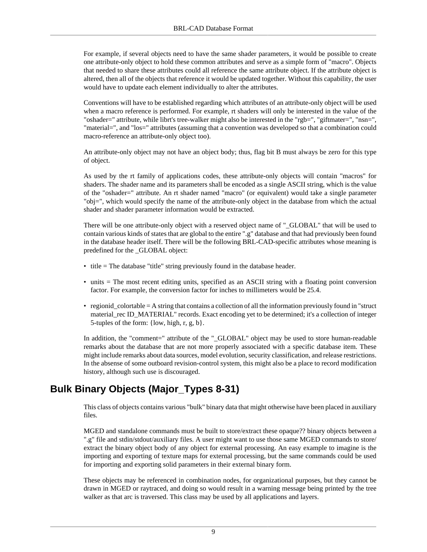For example, if several objects need to have the same shader parameters, it would be possible to create one attribute-only object to hold these common attributes and serve as a simple form of "macro". Objects that needed to share these attributes could all reference the same attribute object. If the attribute object is altered, then all of the objects that reference it would be updated together. Without this capability, the user would have to update each element individually to alter the attributes.

Conventions will have to be established regarding which attributes of an attribute-only object will be used when a macro reference is performed. For example, rt shaders will only be interested in the value of the "oshader=" attribute, while librt's tree-walker might also be interested in the "rgb=", "giftmater=", "nsn=", "material=", and "los=" attributes (assuming that a convention was developed so that a combination could macro-reference an attribute-only object too).

An attribute-only object may not have an object body; thus, flag bit B must always be zero for this type of object.

As used by the rt family of applications codes, these attribute-only objects will contain "macros" for shaders. The shader name and its parameters shall be encoded as a single ASCII string, which is the value of the "oshader=" attribute. An rt shader named "macro" (or equivalent) would take a single parameter "obj=", which would specify the name of the attribute-only object in the database from which the actual shader and shader parameter information would be extracted.

There will be one attribute-only object with a reserved object name of "\_GLOBAL" that will be used to contain various kinds of states that are global to the entire ".g" database and that had previously been found in the database header itself. There will be the following BRL-CAD-specific attributes whose meaning is predefined for the \_GLOBAL object:

- title = The database "title" string previously found in the database header.
- units = The most recent editing units, specified as an ASCII string with a floating point conversion factor. For example, the conversion factor for inches to millimeters would be 25.4.
- regionid\_colortable = A string that contains a collection of all the information previously found in "struct material\_rec ID\_MATERIAL" records. Exact encoding yet to be determined; it's a collection of integer 5-tuples of the form: {low, high, r, g, b}.

In addition, the "comment=" attribute of the "\_GLOBAL" object may be used to store human-readable remarks about the database that are not more properly associated with a specific database item. These might include remarks about data sources, model evolution, security classification, and release restrictions. In the absense of some outboard revision-control system, this might also be a place to record modification history, although such use is discouraged.

### **Bulk Binary Objects (Major\_Types 8-31)**

This class of objects contains various "bulk" binary data that might otherwise have been placed in auxiliary files.

MGED and standalone commands must be built to store/extract these opaque?? binary objects between a ".g" file and stdin/stdout/auxiliary files. A user might want to use those same MGED commands to store/ extract the binary object body of any object for external processing. An easy example to imagine is the importing and exporting of texture maps for external processing, but the same commands could be used for importing and exporting solid parameters in their external binary form.

These objects may be referenced in combination nodes, for organizational purposes, but they cannot be drawn in MGED or raytraced, and doing so would result in a warning message being printed by the tree walker as that arc is traversed. This class may be used by all applications and layers.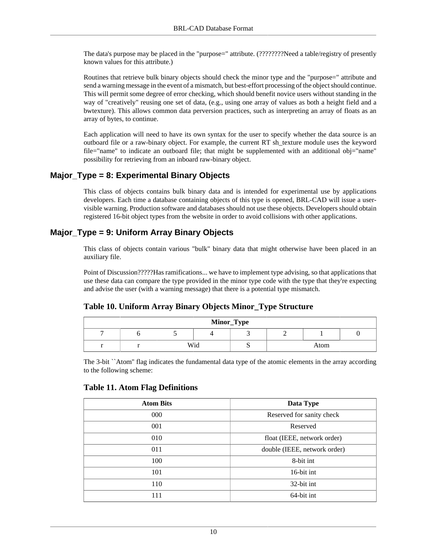The data's purpose may be placed in the "purpose=" attribute. (????????Need a table/registry of presently known values for this attribute.)

Routines that retrieve bulk binary objects should check the minor type and the "purpose=" attribute and send a warning message in the event of a mismatch, but best-effort processing of the object should continue. This will permit some degree of error checking, which should benefit novice users without standing in the way of "creatively" reusing one set of data, (e.g., using one array of values as both a height field and a bwtexture). This allows common data perversion practices, such as interpreting an array of floats as an array of bytes, to continue.

Each application will need to have its own syntax for the user to specify whether the data source is an outboard file or a raw-binary object. For example, the current RT sh\_texture module uses the keyword file="name" to indicate an outboard file; that might be supplemented with an additional obj="name" possibility for retrieving from an inboard raw-binary object.

### **Major\_Type = 8: Experimental Binary Objects**

This class of objects contains bulk binary data and is intended for experimental use by applications developers. Each time a database containing objects of this type is opened, BRL-CAD will issue a uservisible warning. Production software and databases should not use these objects. Developers should obtain registered 16-bit object types from the website in order to avoid collisions with other applications.

### **Major\_Type = 9: Uniform Array Binary Objects**

This class of objects contain various "bulk" binary data that might otherwise have been placed in an auxiliary file.

Point of Discussion?????Has ramifications... we have to implement type advising, so that applications that use these data can compare the type provided in the minor type code with the type that they're expecting and advise the user (with a warning message) that there is a potential type mismatch.

#### **Table 10. Uniform Array Binary Objects Minor\_Type Structure**

| Minor_Type |  |     |  |   |      |  |  |
|------------|--|-----|--|---|------|--|--|
|            |  |     |  |   |      |  |  |
|            |  | Wid |  | ັ | Atom |  |  |

The 3-bit ``Atom'' flag indicates the fundamental data type of the atomic elements in the array according to the following scheme:

#### **Table 11. Atom Flag Definitions**

| <b>Atom Bits</b> | Data Type                    |
|------------------|------------------------------|
| 000              | Reserved for sanity check    |
| 001              | Reserved                     |
| 010              | float (IEEE, network order)  |
| 011              | double (IEEE, network order) |
| 100              | 8-bit int                    |
| 101              | 16-bit int                   |
| 110              | 32-bit int                   |
| 111              | 64-bit int                   |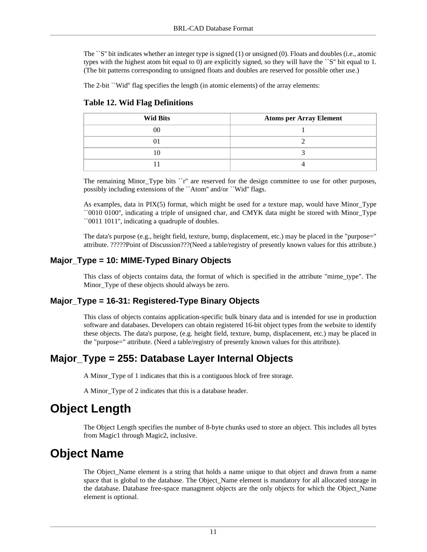The ``S'' bit indicates whether an integer type is signed (1) or unsigned (0). Floats and doubles (i.e., atomic types with the highest atom bit equal to 0) are explicitly signed, so they will have the ``S'' bit equal to 1. (The bit patterns corresponding to unsigned floats and doubles are reserved for possible other use.)

The 2-bit ``Wid" flag specifies the length (in atomic elements) of the array elements:

| <b>Wid Bits</b> | <b>Atoms per Array Element</b> |
|-----------------|--------------------------------|
| $00\,$          |                                |
|                 |                                |
|                 |                                |
|                 |                                |

#### **Table 12. Wid Flag Definitions**

The remaining Minor\_Type bits ``r'' are reserved for the design committee to use for other purposes, possibly including extensions of the ``Atom'' and/or ``Wid'' flags.

As examples, data in PIX(5) format, which might be used for a texture map, would have Minor\_Type ``0010 0100'', indicating a triple of unsigned char, and CMYK data might be stored with Minor\_Type ``0011 1011'', indicating a quadruple of doubles.

The data's purpose (e.g., height field, texture, bump, displacement, etc.) may be placed in the "purpose=" attribute. ?????Point of Discussion???(Need a table/registry of presently known values for this attribute.)

### **Major\_Type = 10: MIME-Typed Binary Objects**

This class of objects contains data, the format of which is specified in the attribute "mime\_type". The Minor Type of these objects should always be zero.

### **Major\_Type = 16-31: Registered-Type Binary Objects**

This class of objects contains application-specific bulk binary data and is intended for use in production software and databases. Developers can obtain registered 16-bit object types from the website to identify these objects. The data's purpose, (e.g. height field, texture, bump, displacement, etc.) may be placed in the "purpose=" attribute. (Need a table/registry of presently known values for this attribute).

### **Major\_Type = 255: Database Layer Internal Objects**

A Minor\_Type of 1 indicates that this is a contiguous block of free storage.

A Minor\_Type of 2 indicates that this is a database header.

# <span id="page-10-0"></span>**Object Length**

The Object Length specifies the number of 8-byte chunks used to store an object. This includes all bytes from Magic1 through Magic2, inclusive.

# <span id="page-10-1"></span>**Object Name**

The Object\_Name element is a string that holds a name unique to that object and drawn from a name space that is global to the database. The Object Name element is mandatory for all allocated storage in the database. Database free-space managment objects are the only objects for which the Object\_Name element is optional.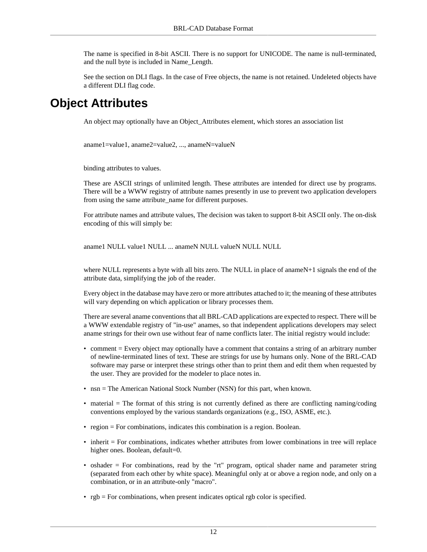The name is specified in 8-bit ASCII. There is no support for UNICODE. The name is null-terminated, and the null byte is included in Name\_Length.

See the section on DLI flags. In the case of Free objects, the name is not retained. Undeleted objects have a different DLI flag code.

## <span id="page-11-0"></span>**Object Attributes**

An object may optionally have an Object\_Attributes element, which stores an association list

aname1=value1, aname2=value2, ..., anameN=valueN

binding attributes to values.

These are ASCII strings of unlimited length. These attributes are intended for direct use by programs. There will be a WWW registry of attribute names presently in use to prevent two application developers from using the same attribute name for different purposes.

For attribute names and attribute values, The decision was taken to support 8-bit ASCII only. The on-disk encoding of this will simply be:

aname1 NULL value1 NULL ... anameN NULL valueN NULL NULL

where NULL represents a byte with all bits zero. The NULL in place of anameN+1 signals the end of the attribute data, simplifying the job of the reader.

Every object in the database may have zero or more attributes attached to it; the meaning of these attributes will vary depending on which application or library processes them.

There are several aname conventions that all BRL-CAD applications are expected to respect. There will be a WWW extendable registry of "in-use" anames, so that independent applications developers may select aname strings for their own use without fear of name conflicts later. The initial registry would include:

- comment = Every object may optionally have a comment that contains a string of an arbitrary number of newline-terminated lines of text. These are strings for use by humans only. None of the BRL-CAD software may parse or interpret these strings other than to print them and edit them when requested by the user. They are provided for the modeler to place notes in.
- nsn = The American National Stock Number (NSN) for this part, when known.
- material = The format of this string is not currently defined as there are conflicting naming/coding conventions employed by the various standards organizations (e.g., ISO, ASME, etc.).
- region = For combinations, indicates this combination is a region. Boolean.
- inherit = For combinations, indicates whether attributes from lower combinations in tree will replace higher ones. Boolean, default=0.
- oshader = For combinations, read by the "rt" program, optical shader name and parameter string (separated from each other by white space). Meaningful only at or above a region node, and only on a combination, or in an attribute-only "macro".
- rgb = For combinations, when present indicates optical rgb color is specified.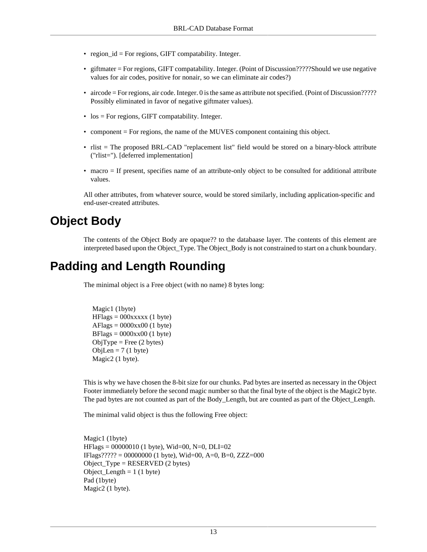- region\_id = For regions, GIFT compatability. Integer.
- giftmater = For regions, GIFT compatability. Integer. (Point of Discussion?????Should we use negative values for air codes, positive for nonair, so we can eliminate air codes?)
- aircode = For regions, air code. Integer. 0 is the same as attribute not specified. (Point of Discussion????? Possibly eliminated in favor of negative giftmater values).
- los = For regions, GIFT compatability. Integer.
- component = For regions, the name of the MUVES component containing this object.
- rlist = The proposed BRL-CAD "replacement list" field would be stored on a binary-block attribute ("rlist="). [deferred implementation]
- macro = If present, specifies name of an attribute-only object to be consulted for additional attribute values.

All other attributes, from whatever source, would be stored similarly, including application-specific and end-user-created attributes.

## <span id="page-12-0"></span>**Object Body**

The contents of the Object Body are opaque?? to the databaase layer. The contents of this element are interpreted based upon the Object\_Type. The Object\_Body is not constrained to start on a chunk boundary.

## <span id="page-12-1"></span>**Padding and Length Rounding**

The minimal object is a Free object (with no name) 8 bytes long:

```
 Magic1 (1byte) 
HFlags = 000xxxx (1 byte)AFlags = 0000xx00 (1 byte)
BFlags = 0000xx00 (1 byte)
ObjType = Free (2 bytes)ObjLen = 7 (1 byte)
 Magic2 (1 byte).
```
This is why we have chosen the 8-bit size for our chunks. Pad bytes are inserted as necessary in the Object Footer immediately before the second magic number so that the final byte of the object is the Magic2 byte. The pad bytes are not counted as part of the Body\_Length, but are counted as part of the Object\_Length.

The minimal valid object is thus the following Free object:

Magic1 (1byte)  $HFlags = 00000010$  (1 byte), Wid=00, N=0, DLI=02 IFlags????? = 00000000 (1 byte), Wid=00, A=0, B=0, ZZZ=000 Object\_Type = RESERVED (2 bytes) Object\_Length  $= 1$  (1 byte) Pad (1byte) Magic2 (1 byte).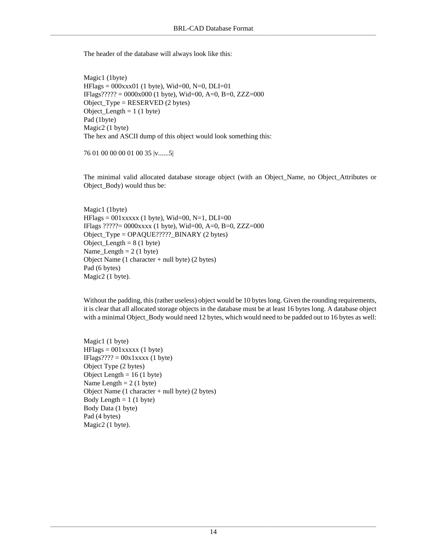The header of the database will always look like this:

Magic1 (1byte)  $HFlags = 000xxx01$  (1 byte), Wid=00, N=0, DLI=01 IFlags????? = 0000x000 (1 byte), Wid=00, A=0, B=0, ZZZ=000 Object\_Type = RESERVED (2 bytes)  $Object\_Length = 1 (1 byte)$ Pad (1byte) Magic2 (1 byte) The hex and ASCII dump of this object would look something this:

76 01 00 00 00 01 00 35 |v......5|

The minimal valid allocated database storage object (with an Object\_Name, no Object\_Attributes or Object\_Body) would thus be:

Magic1 (1byte)  $HFlags = 001xxxxx$  (1 byte), Wid=00, N=1, DLI=00 IFlags ?????= 0000xxxx (1 byte), Wid=00, A=0, B=0, ZZZ=000 Object\_Type = OPAQUE?????\_BINARY (2 bytes) Object Length  $= 8$  (1 byte) Name\_Length =  $2(1 \text{ byte})$ Object Name (1 character + null byte) (2 bytes) Pad (6 bytes) Magic2 (1 byte).

Without the padding, this (rather useless) object would be 10 bytes long. Given the rounding requirements, it is clear that all allocated storage objects in the database must be at least 16 bytes long. A database object with a minimal Object\_Body would need 12 bytes, which would need to be padded out to 16 bytes as well:

Magic1 (1 byte)  $HFlags = 001xxxxx$  (1 byte)  $IFlags???? = 00x1xxxx (1 byte)$ Object Type (2 bytes) Object Length  $= 16$  (1 byte) Name Length  $= 2 (1 \text{ byte})$ Object Name (1 character + null byte) (2 bytes) Body Length  $= 1$  (1 byte) Body Data (1 byte) Pad (4 bytes) Magic2 (1 byte).